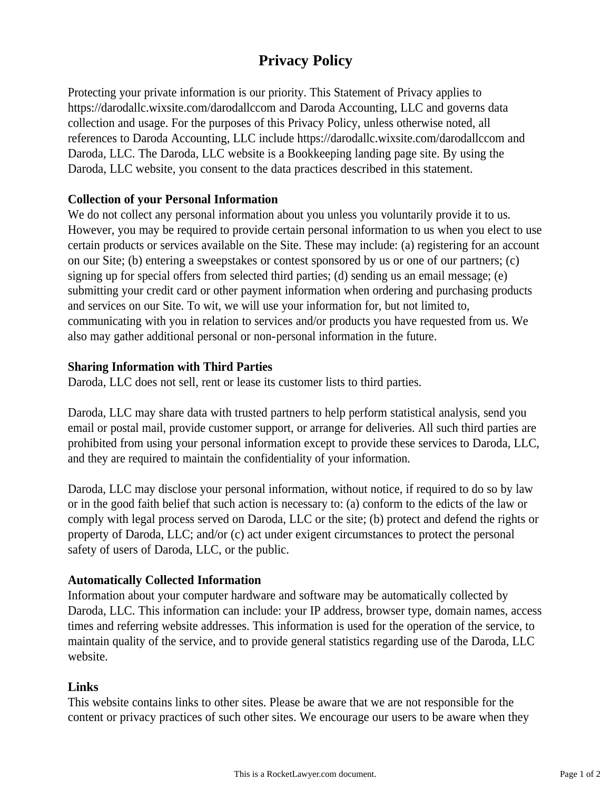# **Privacy Policy**

Protecting your private information is our priority. This Statement of Privacy applies to https://darodallc.wixsite.com/darodallccom and Daroda Accounting, LLC and governs data collection and usage. For the purposes of this Privacy Policy, unless otherwise noted, all references to Daroda Accounting, LLC include https://darodallc.wixsite.com/darodallccom and Daroda, LLC. The Daroda, LLC website is a Bookkeeping landing page site. By using the Daroda, LLC website, you consent to the data practices described in this statement.

# **Collection of your Personal Information**

We do not collect any personal information about you unless you voluntarily provide it to us. However, you may be required to provide certain personal information to us when you elect to use certain products or services available on the Site. These may include: (a) registering for an account on our Site; (b) entering a sweepstakes or contest sponsored by us or one of our partners; (c) signing up for special offers from selected third parties; (d) sending us an email message; (e) submitting your credit card or other payment information when ordering and purchasing products and services on our Site. To wit, we will use your information for, but not limited to, communicating with you in relation to services and/or products you have requested from us. We also may gather additional personal or non-personal information in the future.

# **Sharing Information with Third Parties**

Daroda, LLC does not sell, rent or lease its customer lists to third parties.

Daroda, LLC may share data with trusted partners to help perform statistical analysis, send you email or postal mail, provide customer support, or arrange for deliveries. All such third parties are prohibited from using your personal information except to provide these services to Daroda, LLC, and they are required to maintain the confidentiality of your information.

Daroda, LLC may disclose your personal information, without notice, if required to do so by law or in the good faith belief that such action is necessary to: (a) conform to the edicts of the law or comply with legal process served on Daroda, LLC or the site; (b) protect and defend the rights or property of Daroda, LLC; and/or (c) act under exigent circumstances to protect the personal safety of users of Daroda, LLC, or the public.

# **Automatically Collected Information**

Information about your computer hardware and software may be automatically collected by Daroda, LLC. This information can include: your IP address, browser type, domain names, access times and referring website addresses. This information is used for the operation of the service, to maintain quality of the service, and to provide general statistics regarding use of the Daroda, LLC website.

#### **Links**

This website contains links to other sites. Please be aware that we are not responsible for the content or privacy practices of such other sites. We encourage our users to be aware when they